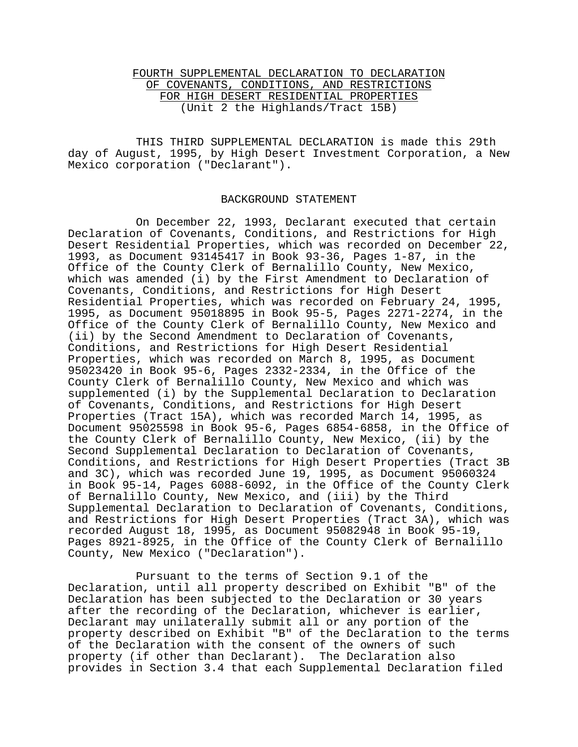## FOURTH SUPPLEMENTAL DECLARATION TO DECLARATION OF COVENANTS, CONDITIONS, AND RESTRICTIONS FOR HIGH DESERT RESIDENTIAL PROPERTIES (Unit 2 the Highlands/Tract 15B)

THIS THIRD SUPPLEMENTAL DECLARATION is made this 29th day of August, 1995, by High Desert Investment Corporation, a New Mexico corporation ("Declarant").

## BACKGROUND STATEMENT

On December 22, 1993, Declarant executed that certain Declaration of Covenants, Conditions, and Restrictions for High Desert Residential Properties, which was recorded on December 22, 1993, as Document 93145417 in Book 93-36, Pages 1-87, in the Office of the County Clerk of Bernalillo County, New Mexico, which was amended (i) by the First Amendment to Declaration of Covenants, Conditions, and Restrictions for High Desert Residential Properties, which was recorded on February 24, 1995, 1995, as Document 95018895 in Book 95-5, Pages 2271-2274, in the Office of the County Clerk of Bernalillo County, New Mexico and (ii) by the Second Amendment to Declaration of Covenants, Conditions, and Restrictions for High Desert Residential Properties, which was recorded on March 8, 1995, as Document 95023420 in Book 95-6, Pages 2332-2334, in the Office of the County Clerk of Bernalillo County, New Mexico and which was supplemented (i) by the Supplemental Declaration to Declaration of Covenants, Conditions, and Restrictions for High Desert Properties (Tract 15A), which was recorded March 14, 1995, as Document 95025598 in Book 95-6, Pages 6854-6858, in the Office of the County Clerk of Bernalillo County, New Mexico, (ii) by the Second Supplemental Declaration to Declaration of Covenants, Conditions, and Restrictions for High Desert Properties (Tract 3B and 3C), which was recorded June 19, 1995, as Document 95060324 in Book 95-14, Pages 6088-6092, in the Office of the County Clerk of Bernalillo County, New Mexico, and (iii) by the Third Supplemental Declaration to Declaration of Covenants, Conditions, and Restrictions for High Desert Properties (Tract 3A), which was recorded August 18, 1995, as Document 95082948 in Book 95-19, Pages 8921-8925, in the Office of the County Clerk of Bernalillo County, New Mexico ("Declaration").

Pursuant to the terms of Section 9.1 of the Declaration, until all property described on Exhibit "B" of the Declaration has been subjected to the Declaration or 30 years after the recording of the Declaration, whichever is earlier, Declarant may unilaterally submit all or any portion of the property described on Exhibit "B" of the Declaration to the terms of the Declaration with the consent of the owners of such property (if other than Declarant). The Declaration also provides in Section 3.4 that each Supplemental Declaration filed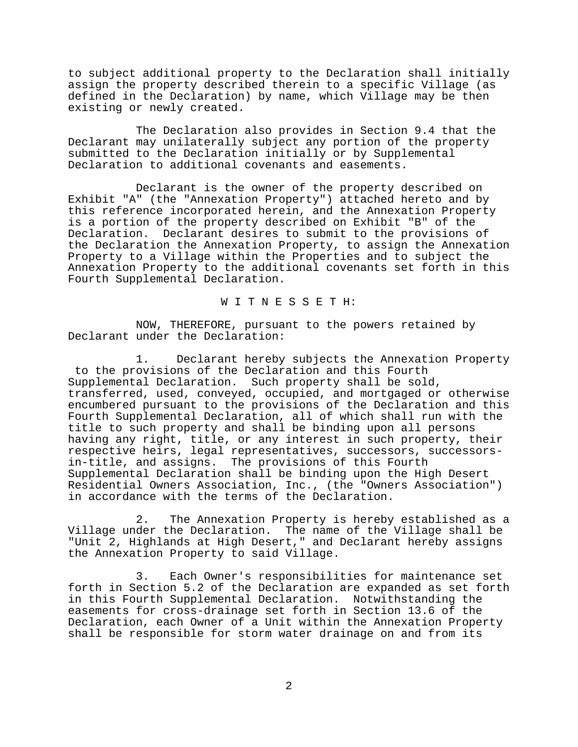to subject additional property to the Declaration shall initially assign the property described therein to a specific Village (as defined in the Declaration) by name, which Village may be then existing or newly created.

The Declaration also provides in Section 9.4 that the Declarant may unilaterally subject any portion of the property submitted to the Declaration initially or by Supplemental Declaration to additional covenants and easements.

Declarant is the owner of the property described on Exhibit "A" (the "Annexation Property") attached hereto and by this reference incorporated herein, and the Annexation Property is a portion of the property described on Exhibit "B" of the Declaration. Declarant desires to submit to the provisions of the Declaration the Annexation Property, to assign the Annexation Property to a Village within the Properties and to subject the Annexation Property to the additional covenants set forth in this Fourth Supplemental Declaration.

W I T N E S S E T H:

NOW, THEREFORE, pursuant to the powers retained by Declarant under the Declaration:

1. Declarant hereby subjects the Annexation Property to the provisions of the Declaration and this Fourth Supplemental Declaration. Such property shall be sold, transferred, used, conveyed, occupied, and mortgaged or otherwise encumbered pursuant to the provisions of the Declaration and this Fourth Supplemental Declaration, all of which shall run with the title to such property and shall be binding upon all persons having any right, title, or any interest in such property, their respective heirs, legal representatives, successors, successorsin-title, and assigns. The provisions of this Fourth Supplemental Declaration shall be binding upon the High Desert Residential Owners Association, Inc., (the "Owners Association") in accordance with the terms of the Declaration.

2. The Annexation Property is hereby established as a Village under the Declaration. The name of the Village shall be "Unit 2, Highlands at High Desert," and Declarant hereby assigns the Annexation Property to said Village.

3. Each Owner's responsibilities for maintenance set forth in Section 5.2 of the Declaration are expanded as set forth in this Fourth Supplemental Declaration. Notwithstanding the easements for cross-drainage set forth in Section 13.6 of the Declaration, each Owner of a Unit within the Annexation Property shall be responsible for storm water drainage on and from its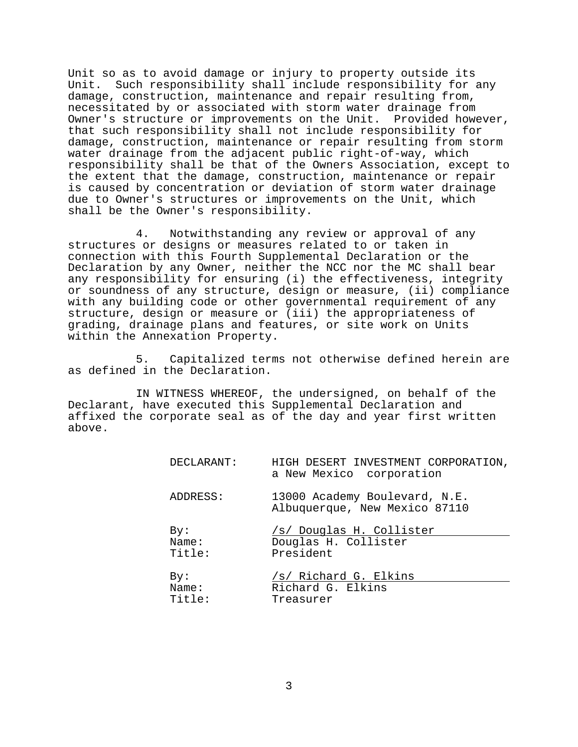Unit so as to avoid damage or injury to property outside its Unit. Such responsibility shall include responsibility for any damage, construction, maintenance and repair resulting from, necessitated by or associated with storm water drainage from Owner's structure or improvements on the Unit. Provided however, that such responsibility shall not include responsibility for damage, construction, maintenance or repair resulting from storm water drainage from the adjacent public right-of-way, which responsibility shall be that of the Owners Association, except to the extent that the damage, construction, maintenance or repair is caused by concentration or deviation of storm water drainage due to Owner's structures or improvements on the Unit, which shall be the Owner's responsibility.

4. Notwithstanding any review or approval of any structures or designs or measures related to or taken in connection with this Fourth Supplemental Declaration or the Declaration by any Owner, neither the NCC nor the MC shall bear any responsibility for ensuring (i) the effectiveness, integrity or soundness of any structure, design or measure, (ii) compliance with any building code or other governmental requirement of any structure, design or measure or (iii) the appropriateness of grading, drainage plans and features, or site work on Units within the Annexation Property.

5. Capitalized terms not otherwise defined herein are as defined in the Declaration.

IN WITNESS WHEREOF, the undersigned, on behalf of the Declarant, have executed this Supplemental Declaration and affixed the corporate seal as of the day and year first written above.

| DECLARANT: | HIGH DESERT INVESTMENT CORPORATION,<br>a New Mexico corporation |
|------------|-----------------------------------------------------------------|
| ADDRESS:   | 13000 Academy Boulevard, N.E.<br>Albuquerque, New Mexico 87110  |
| By:        | /s/ Douglas H. Collister                                        |
| Name:      | Douglas H. Collister                                            |
| Title:     | President                                                       |
| By:        | /s/ Richard G. Elkins                                           |
| Name:      | Richard G. Elkins                                               |
| Title:     | Treasurer                                                       |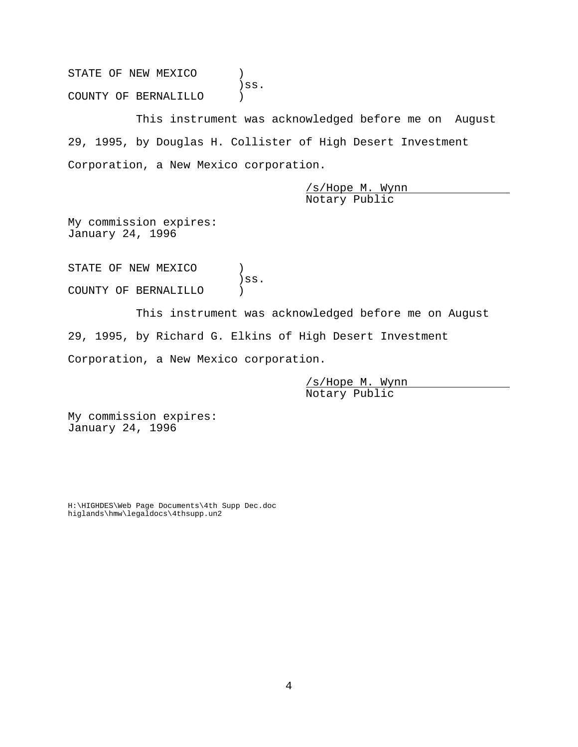STATE OF NEW MEXICO  $)$ )ss. COUNTY OF BERNALILLO )

This instrument was acknowledged before me on August 29, 1995, by Douglas H. Collister of High Desert Investment Corporation, a New Mexico corporation.

> /s/Hope M. Wynn Notary Public

My commission expires: January 24, 1996

STATE OF NEW MEXICO  $\qquad$  ) )ss. COUNTY OF BERNALILLO )

This instrument was acknowledged before me on August 29, 1995, by Richard G. Elkins of High Desert Investment Corporation, a New Mexico corporation.

> /s/Hope M. Wynn Notary Public

My commission expires: January 24, 1996

H:\HIGHDES\Web Page Documents\4th Supp Dec.doc higlands\hmw\legaldocs\4thsupp.un2